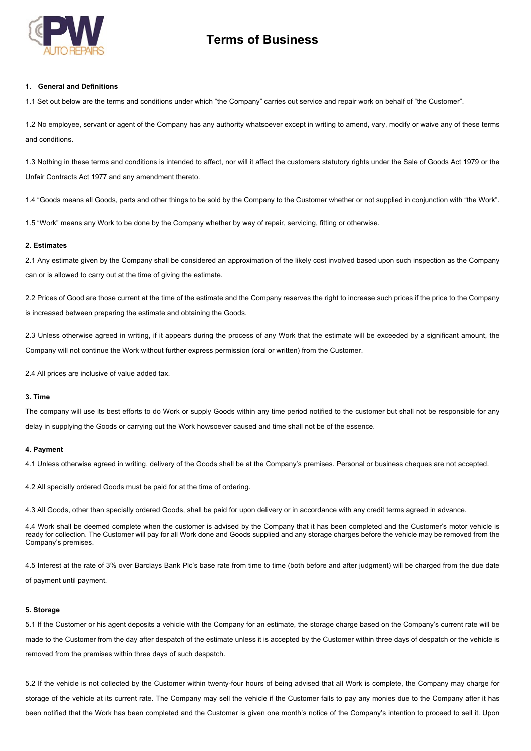

# **Terms of Business**

#### **1. General and Definitions**

1.1 Set out below are the terms and conditions under which "the Company" carries out service and repair work on behalf of "the Customer".

1.2 No employee, servant or agent of the Company has any authority whatsoever except in writing to amend, vary, modify or waive any of these terms and conditions.

1.3 Nothing in these terms and conditions is intended to affect, nor will it affect the customers statutory rights under the Sale of Goods Act 1979 or the Unfair Contracts Act 1977 and any amendment thereto.

1.4 "Goods means all Goods, parts and other things to be sold by the Company to the Customer whether or not supplied in conjunction with "the Work".

1.5 "Work" means any Work to be done by the Company whether by way of repair, servicing, fitting or otherwise.

# **2. Estimates**

2.1 Any estimate given by the Company shall be considered an approximation of the likely cost involved based upon such inspection as the Company can or is allowed to carry out at the time of giving the estimate.

2.2 Prices of Good are those current at the time of the estimate and the Company reserves the right to increase such prices if the price to the Company is increased between preparing the estimate and obtaining the Goods.

2.3 Unless otherwise agreed in writing, if it appears during the process of any Work that the estimate will be exceeded by a significant amount, the Company will not continue the Work without further express permission (oral or written) from the Customer.

2.4 All prices are inclusive of value added tax.

# **3. Time**

The company will use its best efforts to do Work or supply Goods within any time period notified to the customer but shall not be responsible for any delay in supplying the Goods or carrying out the Work howsoever caused and time shall not be of the essence.

## **4. Payment**

4.1 Unless otherwise agreed in writing, delivery of the Goods shall be at the Company's premises. Personal or business cheques are not accepted.

4.2 All specially ordered Goods must be paid for at the time of ordering.

4.3 All Goods, other than specially ordered Goods, shall be paid for upon delivery or in accordance with any credit terms agreed in advance.

4.4 Work shall be deemed complete when the customer is advised by the Company that it has been completed and the Customer's motor vehicle is ready for collection. The Customer will pay for all Work done and Goods supplied and any storage charges before the vehicle may be removed from the Company's premises.

4.5 Interest at the rate of 3% over Barclays Bank Plc's base rate from time to time (both before and after judgment) will be charged from the due date of payment until payment.

#### **5. Storage**

5.1 If the Customer or his agent deposits a vehicle with the Company for an estimate, the storage charge based on the Company's current rate will be made to the Customer from the day after despatch of the estimate unless it is accepted by the Customer within three days of despatch or the vehicle is removed from the premises within three days of such despatch.

5.2 If the vehicle is not collected by the Customer within twenty-four hours of being advised that all Work is complete, the Company may charge for storage of the vehicle at its current rate. The Company may sell the vehicle if the Customer fails to pay any monies due to the Company after it has been notified that the Work has been completed and the Customer is given one month's notice of the Company's intention to proceed to sell it. Upon